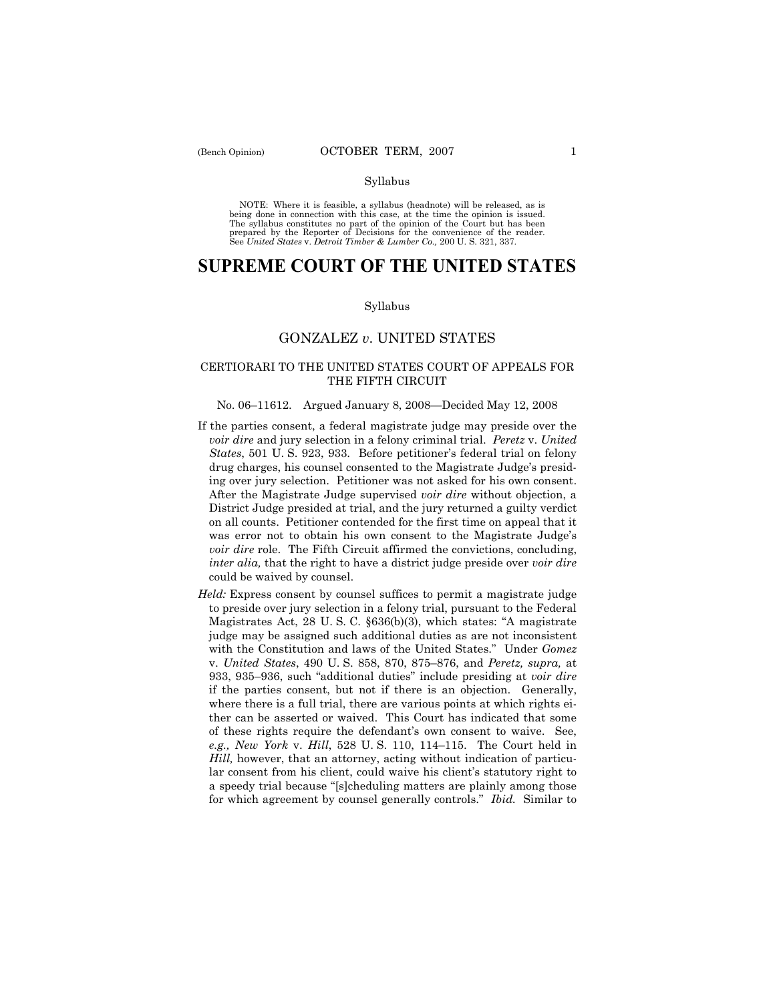### Syllabus

NOTE: Where it is feasible, a syllabus (headnote) will be released, as is being done in connection with this case, at the time the opinion is issued. The syllabus constitutes no part of the opinion of the Court but has been<br>prepared by the Reporter of Decisions for the convenience of the reader.<br>See United States v. Detroit Timber & Lumber Co., 200 U. S. 321, 337.

# **SUPREME COURT OF THE UNITED STATES**

#### Syllabus

# GONZALEZ *v*. UNITED STATES

## CERTIORARI TO THE UNITED STATES COURT OF APPEALS FOR THE FIFTH CIRCUIT

## No. 06–11612. Argued January 8, 2008—Decided May 12, 2008

- If the parties consent, a federal magistrate judge may preside over the *voir dire* and jury selection in a felony criminal trial. *Peretz* v. *United States*, 501 U. S. 923, 933. Before petitioner's federal trial on felony drug charges, his counsel consented to the Magistrate Judge's presiding over jury selection. Petitioner was not asked for his own consent. After the Magistrate Judge supervised *voir dire* without objection, a District Judge presided at trial, and the jury returned a guilty verdict on all counts. Petitioner contended for the first time on appeal that it was error not to obtain his own consent to the Magistrate Judge's *voir dire* role. The Fifth Circuit affirmed the convictions, concluding, *inter alia,* that the right to have a district judge preside over *voir dire* could be waived by counsel.
- *Held:* Express consent by counsel suffices to permit a magistrate judge to preside over jury selection in a felony trial, pursuant to the Federal Magistrates Act, 28 U. S. C. §636(b)(3), which states: "A magistrate judge may be assigned such additional duties as are not inconsistent with the Constitution and laws of the United States." Under *Gomez* v. *United States*, 490 U. S. 858, 870, 875–876, and *Peretz, supra,* at 933, 935–936, such "additional duties" include presiding at *voir dire* if the parties consent, but not if there is an objection. Generally, where there is a full trial, there are various points at which rights either can be asserted or waived. This Court has indicated that some of these rights require the defendant's own consent to waive. See, *e.g., New York* v. *Hill*, 528 U. S. 110, 114–115. The Court held in *Hill,* however, that an attorney, acting without indication of particular consent from his client, could waive his client's statutory right to a speedy trial because "[s]cheduling matters are plainly among those for which agreement by counsel generally controls." *Ibid.* Similar to